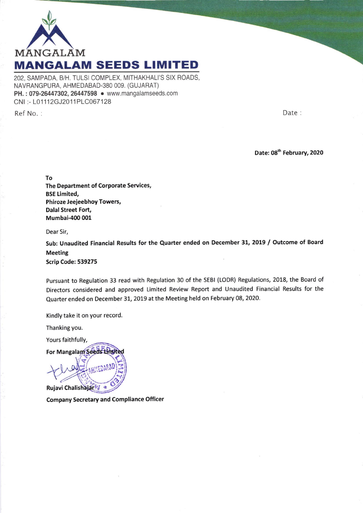

202, SAMPADA, B/H. TULSI COMPLEX, MITHAKHALI'S SIX ROADS, NAVBANGPURA, AHMEDABAD-380 OO9. (GUJARAT) PH.: 079-26447302, 26447598 . www.mangalamseeds.com CNI :- L01112GJ2011PLC067128

Ref No. : Date :

Date: 08<sup>th</sup> February, 2020

To

The Department of Corporate Services, BSE timited, Phiroze Jeejeebhoy Towers, Dalal Street Fort, Mumbai-400 001

Dear Sir,

Sub: Unaudited Financial Results for the Quarter ended on December 31, 2019 / Outcome of Board Meeting

Scrip Code: 539275

Pursuant to Regulation 33 read with Regulation 30 of the sEBl (LoDR) Regulations, 2018, the Board of Directors considered and approved Limited Review Report and Unaudited Financial Results for the Quarter ended on December 31, 2019 at the Meeting held on February 08, 2020.

Kindly take it on your record.

Thanking you.

Yours faithfully,

For Mangalam Seeds Limited

Rujavi Chalishajar Where the Moun

Company Secretary and Compliance Officer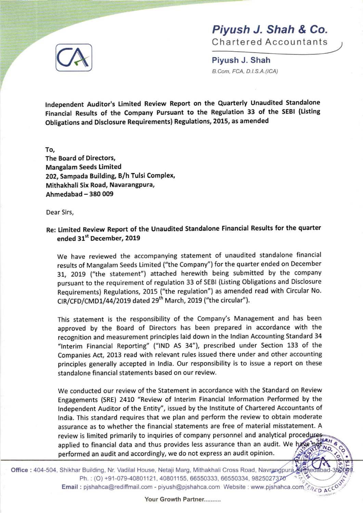

## Piyush J. Shah & Co.

Chartered Accountants

c

o <sup>F</sup> s

Piyush J. Shah B.Com, FCA, D.I.S.A.(ICA)

lndependent Auditor's Limited Review Report on the quarterly Unaudited Standalone Financial Results of the company Pursuant to the Regulation 33 of the SEBI (tisting Obligations and Disclosure Requirements) Regulations, 2015, as amended

To,

The Board of Directors, Mangalam Seeds Limited 202, Sampada Building, B/h Tulsi Complex, Mithakhali Six Road, Navarangpura, Ahmedabad - 380 009

Dear Sirs,

## Re: Limited Review Report of the Unaudited Standalone Financial Results for the quarter ended 31't December, 2019

we have reviewed the accompanying statement of unaudited standalone financial results of Mangalam Seeds Limited ("the Company") for the quarter ended on December 31, 2019 ("the statement") attached herewith being submitted by the company pursuant to the requirement of regulation 33 of sEBl (Listing obligations and Disclosure Requirements) Regulations, 2015 ("the regulation") as amended read with Circular No.  $CIR/CFD/CMD1/44/2019$  dated  $29<sup>th</sup>$  March, 2019 ("the circular").

This statement is the responsibility of the Company's Management and has been approved by the Board of Directors has been prepared in accordance with the recognition and measurement principles laid down in the lndian Accounting Standard 34 "lnterim Financial Reporting" ("lND AS 34"), prescribed under Section 133 of the Companies Act, 2013 read with relevant rules issued there under and other accounting principles generally accepted in lndia. Our responsibility is to issue a report on these standalone financial statements based on our review.

We conducted our review of the Statement in accordance with the Standard on Review Engagements (SRE) 2410 "Review of lnterim Financial lnformation Performed by the lndependent Auditor of the Entity", issued by the lnstitute of Chartered Accountants of lndia. This standard requires that we plan and perform the review to obtain moderate assurance as to whether the financial statements are free of material misstatement. A review is limited primarily to inquiries of company personnel and analytical procedure applied to financial data and thus provides less assurance than an audit. We have performed an audit and accordingly, we do not express an audit opinion.

Office : 404-504, Shikhar Building, Nr. Vadilal House, Netaji Marg, Mithakhali Cross Road, Navrangpura, edabad-Ph.: (O) +91-079-40801121, 40801155, 66550333, 66550334, 9825027376 Email : pjshahca@rediffmail.com - piyush@pjshahca.com Website : www.pjshahca.com TERED ACCOUNT